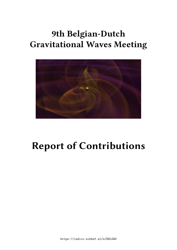# **9th Belgian-Dutch Gravitational Waves Meeting**



# **Report of Contributions**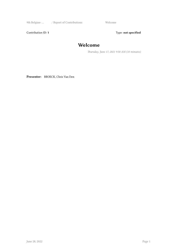9th Belgian- ... / Report of Contributions Welcome

Contribution ID: 1 Type: **not specified** 

## **Welcome**

*Thursday, June 17, 2021 9:50 AM (10 minutes)*

**Presenter:** BROECK, Chris Van Den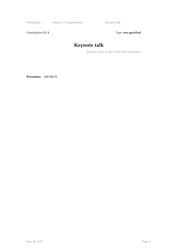9th Belgian- … / Report of Contributions Keynote talk

Contribution ID: 2 Type: **not specified** 

## **Keynote talk**

*Thursday, June 17, 2021 10:00 AM (50 minutes)*

**Presenter:** DIETRICH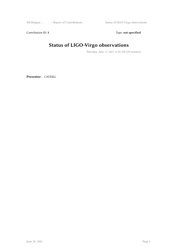9th Belgian- … / Report of Contributions Status of LIGO-Virgo observations

Contribution ID: 3 Type: **not specified** 

# **Status of LIGO-Virgo observations**

*Thursday, June 17, 2021 11:30 AM (20 minutes)*

**Presenter:** CAUDILL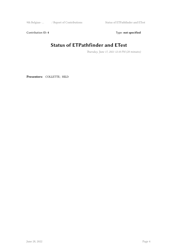9th Belgian- ... / Report of Contributions Status of ETPathfinder and ETest

Contribution ID: 4 Type: **not specified** 

## **Status of ETPathfinder and ETest**

*Thursday, June 17, 2021 12:10 PM (20 minutes)*

**Presenters:** COLLETTE; HILD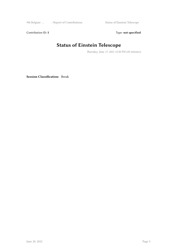9th Belgian- … / Report of Contributions Status of Einstein Telescope

Contribution ID: 5 Type: **not specified** 

## **Status of Einstein Telescope**

*Thursday, June 17, 2021 12:30 PM (20 minutes)*

**Session Classification:** Break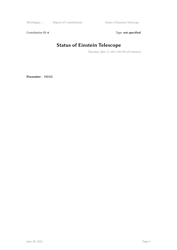9th Belgian- … / Report of Contributions Status of Einstein Telescope

Contribution ID: 6 Type: not specified

## **Status of Einstein Telescope**

*Thursday, June 17, 2021 2:00 PM (20 minutes)*

**Presenter:** FREISE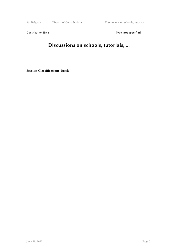9th Belgian- … / Report of Contributions Discussions on schools, tutorials, …

Contribution ID: 8 Type: **not specified** 

## **Discussions on schools, tutorials, …**

**Session Classification:** Break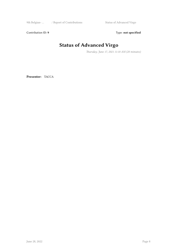9th Belgian- … / Report of Contributions Status of Advanced Virgo

Contribution ID: 9 Type: **not specified** 

# **Status of Advanced Virgo**

*Thursday, June 17, 2021 11:10 AM (20 minutes)*

**Presenter:** TACCA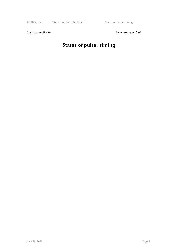Contribution ID: 10 **Type:** not specified

# **Status of pulsar timing**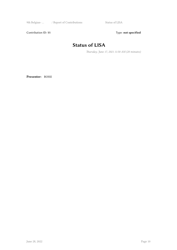9th Belgian- … / Report of Contributions Status of LISA

Contribution ID: 11 Type: **not specified** 

## **Status of LISA**

*Thursday, June 17, 2021 11:50 AM (20 minutes)*

**Presenter:** ROSSI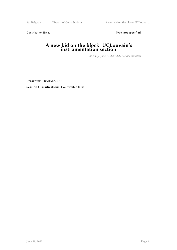9th Belgian- ... / Report of Contributions A new kid on the block: UCLouva ...

Contribution ID: 12 Type: **not specified** 

#### **A new kid on the block: UCLouvain's instrumentation section**

*Thursday, June 17, 2021 2:20 PM (20 minutes)*

**Presenter:** BADARACCO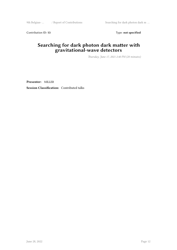9th Belgian- … / Report of Contributions Searching for dark photon dark m …

Contribution ID: 13 Type: **not specified** 

## **Searching for dark photon dark matter with gravitational-wave detectors**

*Thursday, June 17, 2021 2:40 PM (20 minutes)*

**Presenter:** MILLER **Session Classification:** Contributed talks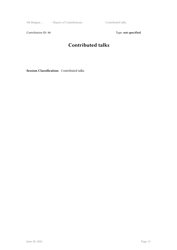9th Belgian- ... / Report of Contributions Contributed talks

Contribution ID: 14 Type: **not specified** 

## **Contributed talks**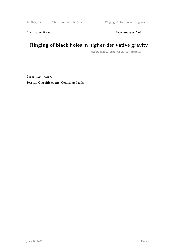9th Belgian- … / Report of Contributions Ringing of black holes in higher- …

Contribution ID: 15 Type: **not specified** 

## **Ringing of black holes in higher-derivative gravity**

*Friday, June 18, 2021 9:00 AM (20 minutes)*

**Presenter:** CANO **Session Classification:** Contributed talks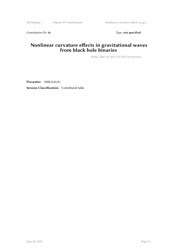Contribution ID: 16 Type: **not specified** 

#### **Nonlinear curvature effects in gravitational waves from black hole binaries**

*Friday, June 18, 2021 9:20 AM (20 minutes)*

**Presenter:** SHIRALILOU **Session Classification:** Contributed talks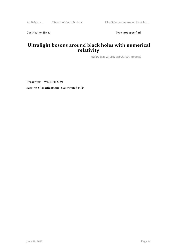Contribution ID: 17 Type: **not specified** 

## **Ultralight bosons around black holes with numerical relativity**

*Friday, June 18, 2021 9:40 AM (20 minutes)*

**Presenter:** WERNERSSON **Session Classification:** Contributed talks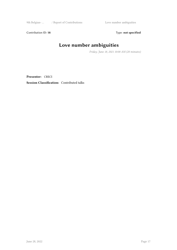9th Belgian- … / Report of Contributions Love number ambiguities

Contribution ID: 18 Type: not specified

## **Love number ambiguities**

*Friday, June 18, 2021 10:00 AM (20 minutes)*

**Presenter:** CRECI **Session Classification:** Contributed talks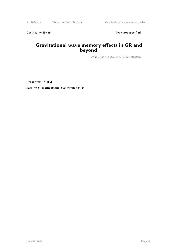9th Belgian- ... / Report of Contributions Gravitational wave memory effec ...

Contribution ID: 19 Type: **not specified** 

## **Gravitational wave memory effects in GR and beyond**

*Friday, June 18, 2021 3:40 PM (20 minutes)*

**Presenter:** SERAJ **Session Classification:** Contributed talks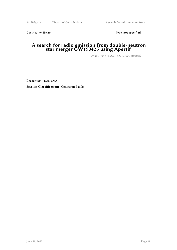Contribution ID: 20 Type: **not specified** 

#### **A search for radio emission from double-neutron star merger GW190425 using Apertif**

*Friday, June 18, 2021 4:00 PM (20 minutes)*

**Presenter:** BOERSMA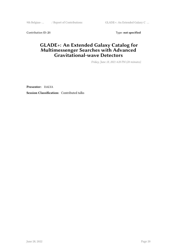9th Belgian- ... / Report of Contributions GLADE+: An Extended Galaxy C ...

Contribution ID: 21 Type: **not specified** 

#### **GLADE+: An Extended Galaxy Catalog for Multimessenger Searches with Advanced Gravitational-wave Detectors**

*Friday, June 18, 2021 4:20 PM (20 minutes)*

**Presenter:** DALYA **Session Classification:** Contributed talks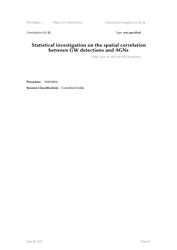9th Belgian- ... / Report of Contributions Statistical investigation on the sp ...

Contribution ID: 22 Type: **not specified** 

### **Statistical investigation on the spatial correlation between GW detections and AGNs**

*Friday, June 18, 2021 4:40 PM (20 minutes)*

**Presenter:** VERONESI **Session Classification:** Contributed talks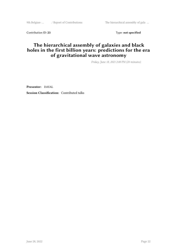9th Belgian- ... / Report of Contributions The hierarchical assembly of gala ...

Contribution ID: 23 Type: **not specified** 

#### **The hierarchical assembly of galaxies and black holes in the first billion years: predictions for the era of gravitational wave astronomy**

*Friday, June 18, 2021 2:00 PM (20 minutes)*

**Presenter:** DAYAL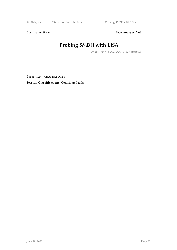Contribution ID: 24 Type: **not specified** 

## **Probing SMBH with LISA**

*Friday, June 18, 2021 2:20 PM (20 minutes)*

**Presenter:** CHAKRABORTY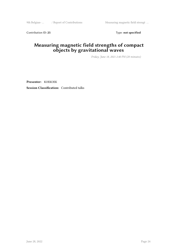9th Belgian- ... / Report of Contributions Measuring magnetic field strengt ...

Contribution ID: 25 Type: **not specified** 

### **Measuring magnetic field strengths of compact objects by gravitational waves**

*Friday, June 18, 2021 2:40 PM (20 minutes)*

**Presenter:** KOEKOEK **Session Classification:** Contributed talks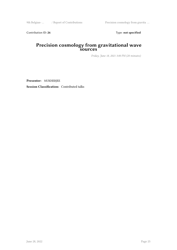9th Belgian- … / Report of Contributions Precision cosmology from gravita …

Contribution ID: 26 Type: **not specified** 

#### **Precision cosmology from gravitational wave sources**

*Friday, June 18, 2021 3:00 PM (20 minutes)*

**Presenter:** MUKHERJEE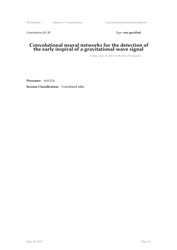Contribution ID: 27 Type: **not specified** 

#### **Convolutional neural networks for the detection of the early inspiral of a gravitational-wave signal**

*Friday, June 18, 2021 11:00 AM (20 minutes)*

**Presenter:** BALTUS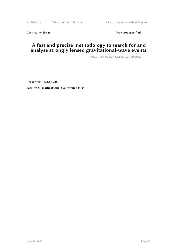9th Belgian- ... / Report of Contributions A fast and precise methodology to ...

Contribution ID: 28 Type: **not specified** 

### **A fast and precise methodology to search for and analyse strongly lensed gravitational-wave events**

*Friday, June 18, 2021 11:20 AM (20 minutes)*

**Presenter:** JANQUART **Session Classification:** Contributed talks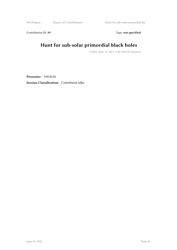9th Belgian- ... / Report of Contributions Hunt for sub-solar primordial bla ...

Contribution ID: 29 Type: **not specified** 

## **Hunt for sub-solar primordial black holes**

*Friday, June 18, 2021 11:40 AM (20 minutes)*

**Presenter:** PHUKON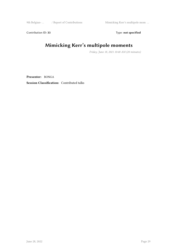9th Belgian- ... / Report of Contributions Mimicking Kerr's multipole mom ...

Contribution ID: 33 Type: **not specified** 

## **Mimicking Kerr's multipole moments**

*Friday, June 18, 2021 10:40 AM (20 minutes)*

**Presenter:** BONGA